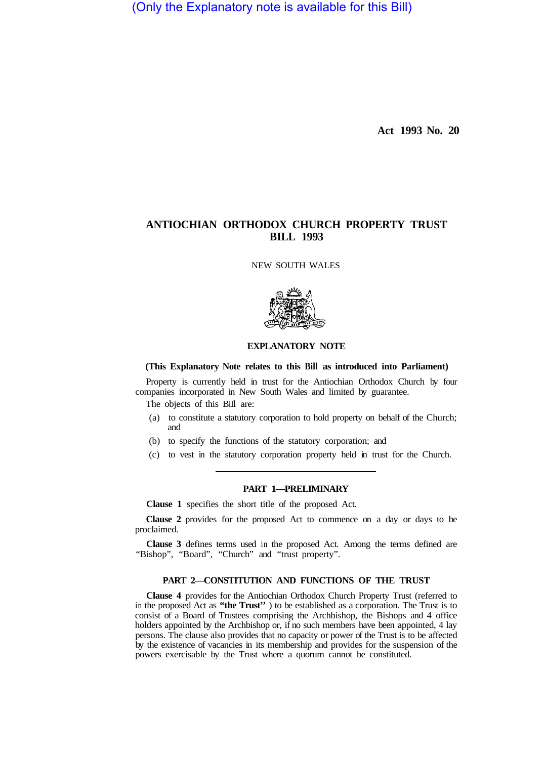(Only the Explanatory note is available for this Bill)

**Act 1993 No. 20** 

# **ANTIOCHIAN ORTHODOX CHURCH PROPERTY TRUST BILL 1993**

NEW SOUTH WALES



#### **EXPLANATORY NOTE**

#### **(This Explanatory Note relates to this Bill as introduced into Parliament)**

Property is currently held in trust for the Antiochian Orthodox Church by four companies incorporated in New South Wales and limited by guarantee.

The objects of this BiIl are:

- (a) to constitute a statutory corporation to hold property on behalf of the Church; and
- (b) to specify the functions of the statutory corporation; and
- (c) to vest in the statutory corporation property held in trust for the Church.

## **PART 1—PRELIMINARY**

**Clause 1** specifies the short title of the proposed Act.

**Clause 2** provides for the proposed Act to commence on a day or days to be proclaimed.

**Clause 3** defines terms used in the proposed Act. Among the terms defined are "Bishop", "Board", "Church" and "trust property".

#### **PART 2—CONSTITUTION AND FUNCTIONS OF THE TRUST**

**Clause 4** provides for the Antiochian Orthodox Church Property Trust (referred to in the proposed Act as **"the Trust''** ) to be established as a corporation. The Trust is to consist of a Board of Trustees comprising the Archbishop, the Bishops and 4 office holders appointed by the Archbishop or, if no such members have been appointed, 4 lay persons. The clause also provides that no capacity or power of the Trust is to be affected by the existence of vacancies in its membership and provides for the suspension of the powers exercisable by the Trust where a quorum cannot be constituted.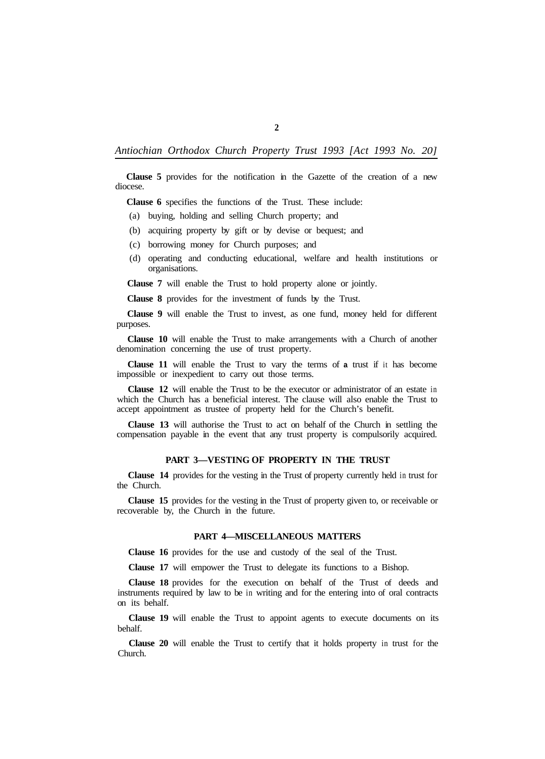*Antiochian Orthodox Church Property Trust 1993 [Act 1993 No. 20]* 

**Clause 5** provides for the notification in the Gazette of the creation of a new diocese.

**Clause 6** specifies the functions of the Trust. These include:

(a) buying, holding and selling Church property; and

- (b) acquiring property by gift or by devise or bequest; and
- (c) borrowing money for Church purposes; and
- (d) operating and conducting educational, welfare and health institutions or organisations.

**Clause 7** will enable the Trust to hold property alone or jointly.

**Clause 8** provides for the investment of funds by the Trust.

**Clause 9** will enable the Trust to invest, as one fund, money held for different purposes.

**Clause 10** will enable the Trust to make arrangements with a Church of another denomination concerning the use of trust property.

**Clause 11** will enable the Trust to vary the terms of **a** trust if it has become impossible or inexpedient to carry out those terms.

**Clause 12** will enable the Trust to be the executor or administrator of an estate in which the Church has a beneficial interest. The clause will also enable the Trust to accept appointment as trustee of property held for the Church's benefit.

**Clause 13** will authorise the Trust to act on behalf of the Church in settling the compensation payable in the event that any trust property is compulsorily acquired.

#### **PART 3—VESTING OF PROPERTY IN THE TRUST**

**Clause 14** provides for the vesting in the Trust of property currently held in trust for the Church.

**Clause 15** provides for the vesting in the Trust of property given to, or receivable or recoverable by, the Church in the future.

#### **PART 4—MISCELLANEOUS MATTERS**

**Clause 16** provides for the use and custody of the seal of the Trust.

**Clause 17** will empower the Trust to delegate its functions to a Bishop.

**Clause 18** provides for the execution on behalf of the Trust of deeds and instruments required by law to be in writing and for the entering into of oral contracts on its behalf.

**Clause 19** will enable the Trust to appoint agents to execute documents on its behalf.

**Clause 20** will enable the Trust to certify that it holds property in trust for the Church.